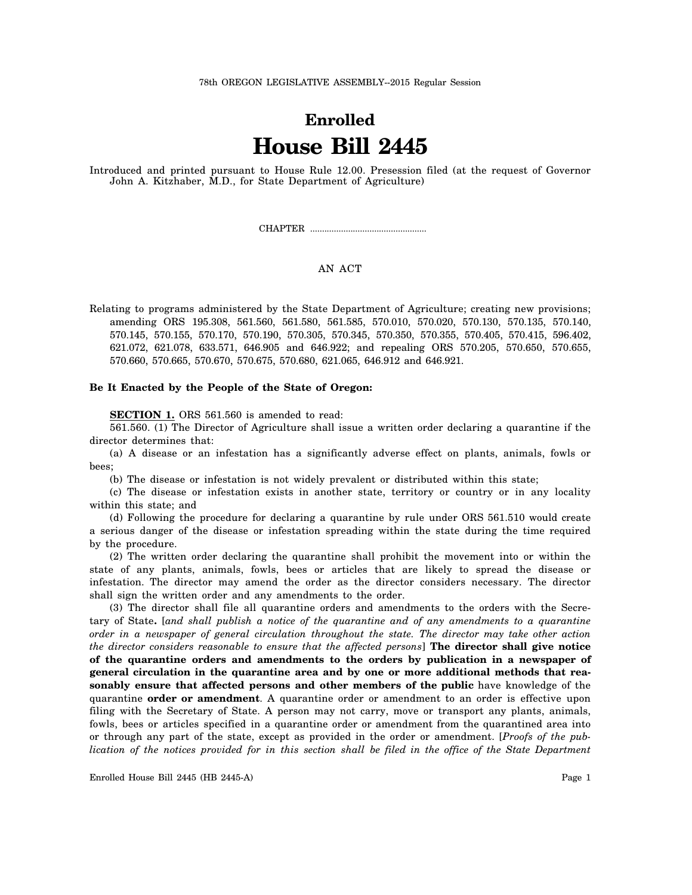# **Enrolled House Bill 2445**

Introduced and printed pursuant to House Rule 12.00. Presession filed (at the request of Governor John A. Kitzhaber, M.D., for State Department of Agriculture)

CHAPTER .................................................

### AN ACT

Relating to programs administered by the State Department of Agriculture; creating new provisions; amending ORS 195.308, 561.560, 561.580, 561.585, 570.010, 570.020, 570.130, 570.135, 570.140, 570.145, 570.155, 570.170, 570.190, 570.305, 570.345, 570.350, 570.355, 570.405, 570.415, 596.402, 621.072, 621.078, 633.571, 646.905 and 646.922; and repealing ORS 570.205, 570.650, 570.655, 570.660, 570.665, 570.670, 570.675, 570.680, 621.065, 646.912 and 646.921.

#### **Be It Enacted by the People of the State of Oregon:**

**SECTION 1.** ORS 561.560 is amended to read:

561.560. (1) The Director of Agriculture shall issue a written order declaring a quarantine if the director determines that:

(a) A disease or an infestation has a significantly adverse effect on plants, animals, fowls or bees;

(b) The disease or infestation is not widely prevalent or distributed within this state;

(c) The disease or infestation exists in another state, territory or country or in any locality within this state; and

(d) Following the procedure for declaring a quarantine by rule under ORS 561.510 would create a serious danger of the disease or infestation spreading within the state during the time required by the procedure.

(2) The written order declaring the quarantine shall prohibit the movement into or within the state of any plants, animals, fowls, bees or articles that are likely to spread the disease or infestation. The director may amend the order as the director considers necessary. The director shall sign the written order and any amendments to the order.

(3) The director shall file all quarantine orders and amendments to the orders with the Secretary of State**.** [*and shall publish a notice of the quarantine and of any amendments to a quarantine order in a newspaper of general circulation throughout the state. The director may take other action the director considers reasonable to ensure that the affected persons*] **The director shall give notice of the quarantine orders and amendments to the orders by publication in a newspaper of general circulation in the quarantine area and by one or more additional methods that reasonably ensure that affected persons and other members of the public** have knowledge of the quarantine **order or amendment**. A quarantine order or amendment to an order is effective upon filing with the Secretary of State. A person may not carry, move or transport any plants, animals, fowls, bees or articles specified in a quarantine order or amendment from the quarantined area into or through any part of the state, except as provided in the order or amendment. [*Proofs of the publication of the notices provided for in this section shall be filed in the office of the State Department*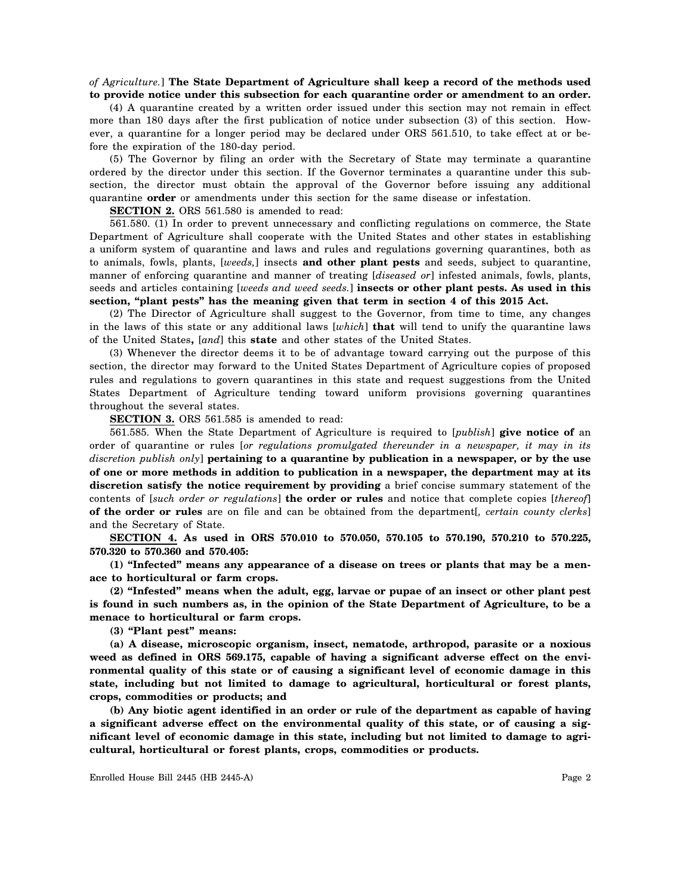### *of Agriculture.*] **The State Department of Agriculture shall keep a record of the methods used to provide notice under this subsection for each quarantine order or amendment to an order.**

(4) A quarantine created by a written order issued under this section may not remain in effect more than 180 days after the first publication of notice under subsection (3) of this section. However, a quarantine for a longer period may be declared under ORS 561.510, to take effect at or before the expiration of the 180-day period.

(5) The Governor by filing an order with the Secretary of State may terminate a quarantine ordered by the director under this section. If the Governor terminates a quarantine under this subsection, the director must obtain the approval of the Governor before issuing any additional quarantine **order** or amendments under this section for the same disease or infestation.

**SECTION 2.** ORS 561.580 is amended to read:

561.580. (1) In order to prevent unnecessary and conflicting regulations on commerce, the State Department of Agriculture shall cooperate with the United States and other states in establishing a uniform system of quarantine and laws and rules and regulations governing quarantines, both as to animals, fowls, plants, [*weeds,*] insects **and other plant pests** and seeds, subject to quarantine, manner of enforcing quarantine and manner of treating [*diseased or*] infested animals, fowls, plants, seeds and articles containing [*weeds and weed seeds.*] **insects or other plant pests. As used in this section, "plant pests" has the meaning given that term in section 4 of this 2015 Act.**

(2) The Director of Agriculture shall suggest to the Governor, from time to time, any changes in the laws of this state or any additional laws [*which*] **that** will tend to unify the quarantine laws of the United States**,** [*and*] this **state** and other states of the United States.

(3) Whenever the director deems it to be of advantage toward carrying out the purpose of this section, the director may forward to the United States Department of Agriculture copies of proposed rules and regulations to govern quarantines in this state and request suggestions from the United States Department of Agriculture tending toward uniform provisions governing quarantines throughout the several states.

**SECTION 3.** ORS 561.585 is amended to read:

561.585. When the State Department of Agriculture is required to [*publish*] **give notice of** an order of quarantine or rules [*or regulations promulgated thereunder in a newspaper, it may in its discretion publish only*] **pertaining to a quarantine by publication in a newspaper, or by the use of one or more methods in addition to publication in a newspaper, the department may at its discretion satisfy the notice requirement by providing** a brief concise summary statement of the contents of [*such order or regulations*] **the order or rules** and notice that complete copies [*thereof*] **of the order or rules** are on file and can be obtained from the department[*, certain county clerks*] and the Secretary of State.

**SECTION 4. As used in ORS 570.010 to 570.050, 570.105 to 570.190, 570.210 to 570.225, 570.320 to 570.360 and 570.405:**

**(1) "Infected" means any appearance of a disease on trees or plants that may be a menace to horticultural or farm crops.**

**(2) "Infested" means when the adult, egg, larvae or pupae of an insect or other plant pest is found in such numbers as, in the opinion of the State Department of Agriculture, to be a menace to horticultural or farm crops.**

**(3) "Plant pest" means:**

**(a) A disease, microscopic organism, insect, nematode, arthropod, parasite or a noxious weed as defined in ORS 569.175, capable of having a significant adverse effect on the environmental quality of this state or of causing a significant level of economic damage in this state, including but not limited to damage to agricultural, horticultural or forest plants, crops, commodities or products; and**

**(b) Any biotic agent identified in an order or rule of the department as capable of having a significant adverse effect on the environmental quality of this state, or of causing a significant level of economic damage in this state, including but not limited to damage to agricultural, horticultural or forest plants, crops, commodities or products.**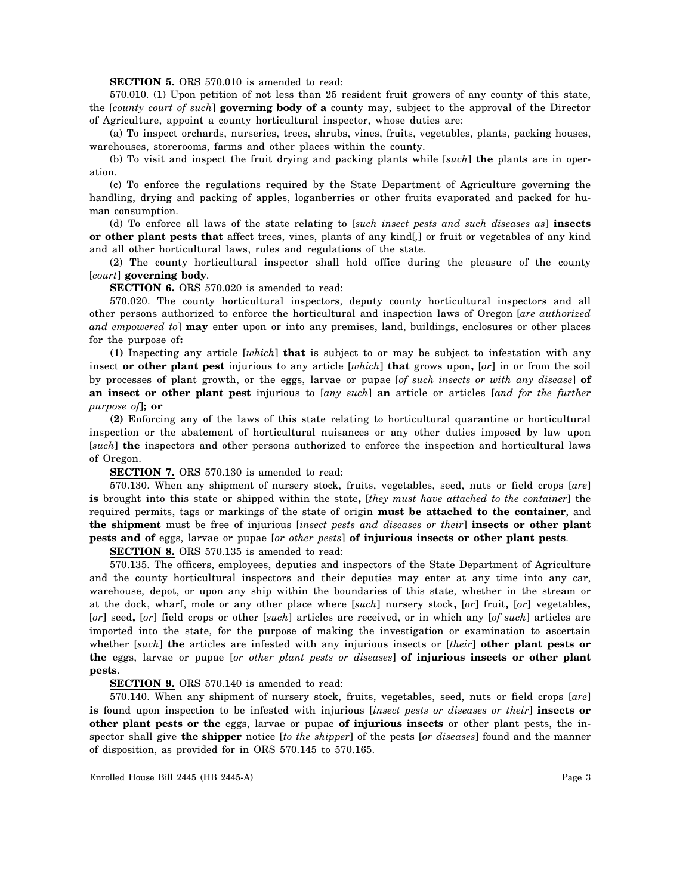#### **SECTION 5.** ORS 570.010 is amended to read:

570.010. (1) Upon petition of not less than 25 resident fruit growers of any county of this state, the [*county court of such*] **governing body of a** county may, subject to the approval of the Director of Agriculture, appoint a county horticultural inspector, whose duties are:

(a) To inspect orchards, nurseries, trees, shrubs, vines, fruits, vegetables, plants, packing houses, warehouses, storerooms, farms and other places within the county.

(b) To visit and inspect the fruit drying and packing plants while [*such*] **the** plants are in operation.

(c) To enforce the regulations required by the State Department of Agriculture governing the handling, drying and packing of apples, loganberries or other fruits evaporated and packed for human consumption.

(d) To enforce all laws of the state relating to [*such insect pests and such diseases as*] **insects or other plant pests that** affect trees, vines, plants of any kind[*,*] or fruit or vegetables of any kind and all other horticultural laws, rules and regulations of the state.

(2) The county horticultural inspector shall hold office during the pleasure of the county [*court*] **governing body**.

**SECTION 6.** ORS 570.020 is amended to read:

570.020. The county horticultural inspectors, deputy county horticultural inspectors and all other persons authorized to enforce the horticultural and inspection laws of Oregon [*are authorized and empowered to*] **may** enter upon or into any premises, land, buildings, enclosures or other places for the purpose of**:**

**(1)** Inspecting any article [*which*] **that** is subject to or may be subject to infestation with any insect **or other plant pest** injurious to any article [*which*] **that** grows upon**,** [*or*] in or from the soil by processes of plant growth, or the eggs, larvae or pupae [*of such insects or with any disease*] **of an insect or other plant pest** injurious to [*any such*] **an** article or articles [*and for the further purpose of*]**; or**

**(2)** Enforcing any of the laws of this state relating to horticultural quarantine or horticultural inspection or the abatement of horticultural nuisances or any other duties imposed by law upon [*such*] **the** inspectors and other persons authorized to enforce the inspection and horticultural laws of Oregon.

#### **SECTION 7.** ORS 570.130 is amended to read:

570.130. When any shipment of nursery stock, fruits, vegetables, seed, nuts or field crops [*are*] **is** brought into this state or shipped within the state**,** [*they must have attached to the container*] the required permits, tags or markings of the state of origin **must be attached to the container**, and **the shipment** must be free of injurious [*insect pests and diseases or their*] **insects or other plant pests and of** eggs, larvae or pupae [*or other pests*] **of injurious insects or other plant pests**.

**SECTION 8.** ORS 570.135 is amended to read:

570.135. The officers, employees, deputies and inspectors of the State Department of Agriculture and the county horticultural inspectors and their deputies may enter at any time into any car, warehouse, depot, or upon any ship within the boundaries of this state, whether in the stream or at the dock, wharf, mole or any other place where [*such*] nursery stock**,** [*or*] fruit**,** [*or*] vegetables**,** [*or*] seed**,** [*or*] field crops or other [*such*] articles are received, or in which any [*of such*] articles are imported into the state, for the purpose of making the investigation or examination to ascertain whether [*such*] **the** articles are infested with any injurious insects or [*their*] **other plant pests or the** eggs, larvae or pupae [*or other plant pests or diseases*] **of injurious insects or other plant pests**.

#### **SECTION 9.** ORS 570.140 is amended to read:

570.140. When any shipment of nursery stock, fruits, vegetables, seed, nuts or field crops [*are*] **is** found upon inspection to be infested with injurious [*insect pests or diseases or their*] **insects or other plant pests or the** eggs, larvae or pupae **of injurious insects** or other plant pests, the inspector shall give **the shipper** notice [*to the shipper*] of the pests [*or diseases*] found and the manner of disposition, as provided for in ORS 570.145 to 570.165.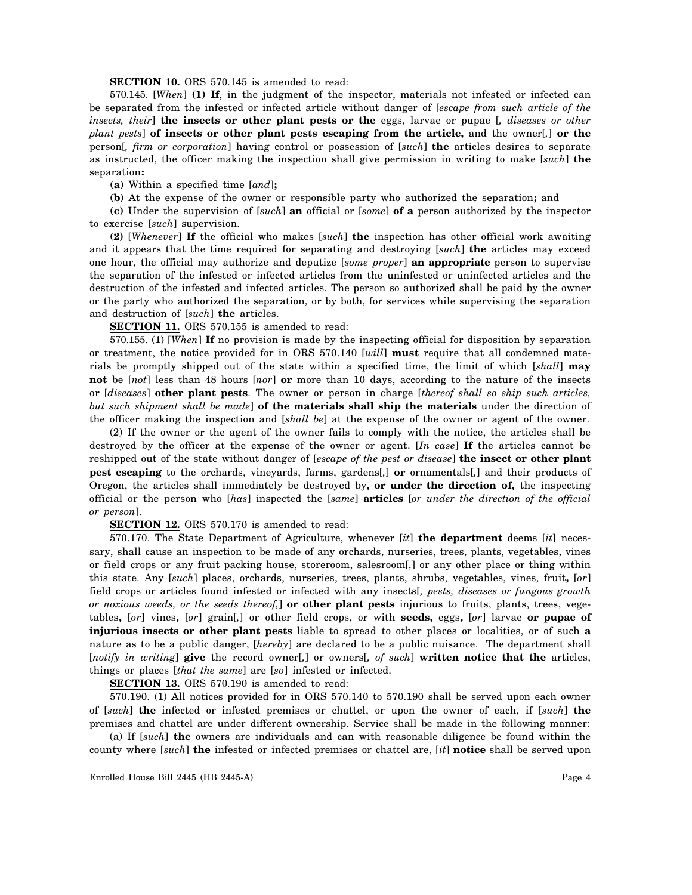#### **SECTION 10.** ORS 570.145 is amended to read:

570.145. [*When*] **(1) If**, in the judgment of the inspector, materials not infested or infected can be separated from the infested or infected article without danger of [*escape from such article of the insects, their*] **the insects or other plant pests or the** eggs, larvae or pupae [*, diseases or other plant pests*] **of insects or other plant pests escaping from the article,** and the owner[*,*] **or the** person[*, firm or corporation*] having control or possession of [*such*] **the** articles desires to separate as instructed, the officer making the inspection shall give permission in writing to make [*such*] **the** separation**:**

**(a)** Within a specified time [*and*]**;**

**(b)** At the expense of the owner or responsible party who authorized the separation**;** and

**(c)** Under the supervision of [*such*] **an** official or [*some*] **of a** person authorized by the inspector to exercise [*such*] supervision.

**(2)** [*Whenever*] **If** the official who makes [*such*] **the** inspection has other official work awaiting and it appears that the time required for separating and destroying [*such*] **the** articles may exceed one hour, the official may authorize and deputize [*some proper*] **an appropriate** person to supervise the separation of the infested or infected articles from the uninfested or uninfected articles and the destruction of the infested and infected articles. The person so authorized shall be paid by the owner or the party who authorized the separation, or by both, for services while supervising the separation and destruction of [*such*] **the** articles.

**SECTION 11.** ORS 570.155 is amended to read:

570.155. (1) [*When*] **If** no provision is made by the inspecting official for disposition by separation or treatment, the notice provided for in ORS 570.140 [*will*] **must** require that all condemned materials be promptly shipped out of the state within a specified time, the limit of which [*shall*] **may not** be [*not*] less than 48 hours [*nor*] **or** more than 10 days, according to the nature of the insects or [*diseases*] **other plant pests**. The owner or person in charge [*thereof shall so ship such articles, but such shipment shall be made*] **of the materials shall ship the materials** under the direction of the officer making the inspection and [*shall be*] at the expense of the owner or agent of the owner.

(2) If the owner or the agent of the owner fails to comply with the notice, the articles shall be destroyed by the officer at the expense of the owner or agent. [*In case*] **If** the articles cannot be reshipped out of the state without danger of [*escape of the pest or disease*] **the insect or other plant pest escaping** to the orchards, vineyards, farms, gardens[*,*] **or** ornamentals[*,*] and their products of Oregon, the articles shall immediately be destroyed by**, or under the direction of,** the inspecting official or the person who [*has*] inspected the [*same*] **articles** [*or under the direction of the official or person*].

**SECTION 12.** ORS 570.170 is amended to read:

570.170. The State Department of Agriculture, whenever [*it*] **the department** deems [*it*] necessary, shall cause an inspection to be made of any orchards, nurseries, trees, plants, vegetables, vines or field crops or any fruit packing house, storeroom, salesroom[*,*] or any other place or thing within this state. Any [*such*] places, orchards, nurseries, trees, plants, shrubs, vegetables, vines, fruit**,** [*or*] field crops or articles found infested or infected with any insects[*, pests, diseases or fungous growth or noxious weeds, or the seeds thereof,*] **or other plant pests** injurious to fruits, plants, trees, vegetables**,** [*or*] vines**,** [*or*] grain[*,*] or other field crops, or with **seeds,** eggs**,** [*or*] larvae **or pupae of injurious insects or other plant pests** liable to spread to other places or localities, or of such **a** nature as to be a public danger, [*hereby*] are declared to be a public nuisance. The department shall [*notify in writing*] **give** the record owner[*,*] or owners[*, of such*] **written notice that the** articles, things or places [*that the same*] are [*so*] infested or infected.

**SECTION 13.** ORS 570.190 is amended to read:

570.190. (1) All notices provided for in ORS 570.140 to 570.190 shall be served upon each owner of [*such*] **the** infected or infested premises or chattel, or upon the owner of each, if [*such*] **the** premises and chattel are under different ownership. Service shall be made in the following manner:

(a) If [*such*] **the** owners are individuals and can with reasonable diligence be found within the county where [*such*] **the** infested or infected premises or chattel are, [*it*] **notice** shall be served upon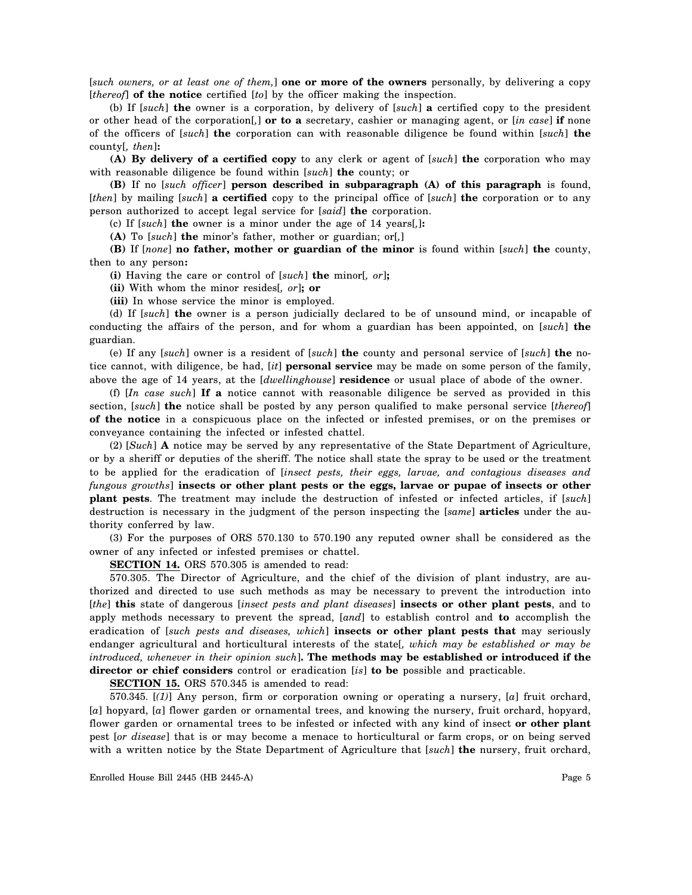[*such owners, or at least one of them,*] **one or more of the owners** personally, by delivering a copy [*thereof*] **of the notice** certified [*to*] by the officer making the inspection.

(b) If [*such*] **the** owner is a corporation, by delivery of [*such*] **a** certified copy to the president or other head of the corporation[*,*] **or to a** secretary, cashier or managing agent, or [*in case*] **if** none of the officers of [*such*] **the** corporation can with reasonable diligence be found within [*such*] **the** county[*, then*]**:**

**(A) By delivery of a certified copy** to any clerk or agent of [*such*] **the** corporation who may with reasonable diligence be found within [*such*] **the** county; or

**(B)** If no [*such officer*] **person described in subparagraph (A) of this paragraph** is found, [*then*] by mailing [*such*] **a certified** copy to the principal office of [*such*] **the** corporation or to any person authorized to accept legal service for [*said*] **the** corporation.

(c) If [*such*] **the** owner is a minor under the age of 14 years[*,*]**:**

**(A)** To [*such*] **the** minor's father, mother or guardian; or[*,*]

**(B)** If [*none*] **no father, mother or guardian of the minor** is found within [*such*] **the** county, then to any person**:**

**(i)** Having the care or control of [*such*] **the** minor[*, or*]**;**

**(ii)** With whom the minor resides[*, or*]**; or**

**(iii)** In whose service the minor is employed.

(d) If [*such*] **the** owner is a person judicially declared to be of unsound mind, or incapable of conducting the affairs of the person, and for whom a guardian has been appointed, on [*such*] **the** guardian.

(e) If any [*such*] owner is a resident of [*such*] **the** county and personal service of [*such*] **the** notice cannot, with diligence, be had, [*it*] **personal service** may be made on some person of the family, above the age of 14 years, at the [*dwellinghouse*] **residence** or usual place of abode of the owner.

(f) [*In case such*] **If a** notice cannot with reasonable diligence be served as provided in this section, [*such*] **the** notice shall be posted by any person qualified to make personal service [*thereof*] **of the notice** in a conspicuous place on the infected or infested premises, or on the premises or conveyance containing the infected or infested chattel.

(2) [*Such*] **A** notice may be served by any representative of the State Department of Agriculture, or by a sheriff or deputies of the sheriff. The notice shall state the spray to be used or the treatment to be applied for the eradication of [*insect pests, their eggs, larvae, and contagious diseases and fungous growths*] **insects or other plant pests or the eggs, larvae or pupae of insects or other plant pests**. The treatment may include the destruction of infested or infected articles, if [*such*] destruction is necessary in the judgment of the person inspecting the [*same*] **articles** under the authority conferred by law.

(3) For the purposes of ORS 570.130 to 570.190 any reputed owner shall be considered as the owner of any infected or infested premises or chattel.

**SECTION 14.** ORS 570.305 is amended to read:

570.305. The Director of Agriculture, and the chief of the division of plant industry, are authorized and directed to use such methods as may be necessary to prevent the introduction into [*the*] **this** state of dangerous [*insect pests and plant diseases*] **insects or other plant pests**, and to apply methods necessary to prevent the spread, [*and*] to establish control and **to** accomplish the eradication of [*such pests and diseases, which*] **insects or other plant pests that** may seriously endanger agricultural and horticultural interests of the state[*, which may be established or may be introduced, whenever in their opinion such*]**. The methods may be established or introduced if the director or chief considers** control or eradication [*is*] **to be** possible and practicable.

**SECTION 15.** ORS 570.345 is amended to read:

570.345. [*(1)*] Any person, firm or corporation owning or operating a nursery, [*a*] fruit orchard, [*a*] hopyard, [*a*] flower garden or ornamental trees, and knowing the nursery, fruit orchard, hopyard, flower garden or ornamental trees to be infested or infected with any kind of insect **or other plant** pest [*or disease*] that is or may become a menace to horticultural or farm crops, or on being served with a written notice by the State Department of Agriculture that [*such*] **the** nursery, fruit orchard,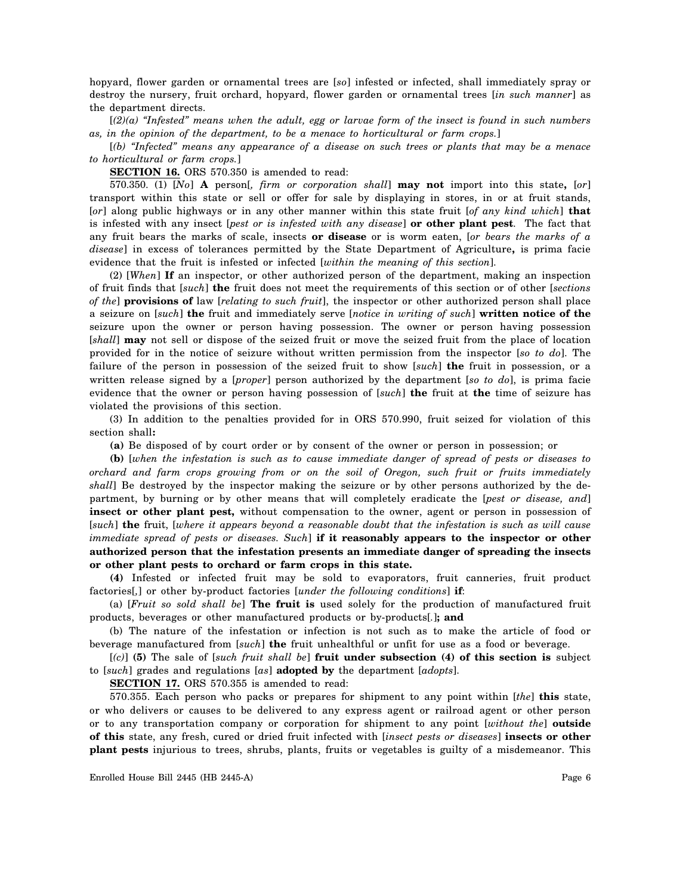hopyard, flower garden or ornamental trees are [*so*] infested or infected, shall immediately spray or destroy the nursery, fruit orchard, hopyard, flower garden or ornamental trees [*in such manner*] as the department directs.

[*(2)(a) "Infested" means when the adult, egg or larvae form of the insect is found in such numbers as, in the opinion of the department, to be a menace to horticultural or farm crops.*]

[*(b) "Infected" means any appearance of a disease on such trees or plants that may be a menace to horticultural or farm crops.*]

**SECTION 16.** ORS 570.350 is amended to read:

570.350. (1) [*No*] **A** person[*, firm or corporation shall*] **may not** import into this state**,** [*or*] transport within this state or sell or offer for sale by displaying in stores, in or at fruit stands, [*or*] along public highways or in any other manner within this state fruit [*of any kind which*] **that** is infested with any insect [*pest or is infested with any disease*] **or other plant pest**. The fact that any fruit bears the marks of scale, insects **or disease** or is worm eaten, [*or bears the marks of a disease*] in excess of tolerances permitted by the State Department of Agriculture**,** is prima facie evidence that the fruit is infested or infected [*within the meaning of this section*].

(2) [*When*] **If** an inspector, or other authorized person of the department, making an inspection of fruit finds that [*such*] **the** fruit does not meet the requirements of this section or of other [*sections of the*] **provisions of** law [*relating to such fruit*], the inspector or other authorized person shall place a seizure on [*such*] **the** fruit and immediately serve [*notice in writing of such*] **written notice of the** seizure upon the owner or person having possession. The owner or person having possession [*shall*] **may** not sell or dispose of the seized fruit or move the seized fruit from the place of location provided for in the notice of seizure without written permission from the inspector [*so to do*]. The failure of the person in possession of the seized fruit to show [*such*] **the** fruit in possession, or a written release signed by a [*proper*] person authorized by the department [*so to do*], is prima facie evidence that the owner or person having possession of [*such*] **the** fruit at **the** time of seizure has violated the provisions of this section.

(3) In addition to the penalties provided for in ORS 570.990, fruit seized for violation of this section shall**:**

**(a)** Be disposed of by court order or by consent of the owner or person in possession; or

**(b)** [*when the infestation is such as to cause immediate danger of spread of pests or diseases to orchard and farm crops growing from or on the soil of Oregon, such fruit or fruits immediately shall*] Be destroyed by the inspector making the seizure or by other persons authorized by the department, by burning or by other means that will completely eradicate the [*pest or disease, and*] **insect or other plant pest,** without compensation to the owner, agent or person in possession of [*such*] **the** fruit, [*where it appears beyond a reasonable doubt that the infestation is such as will cause immediate spread of pests or diseases. Such*] **if it reasonably appears to the inspector or other authorized person that the infestation presents an immediate danger of spreading the insects or other plant pests to orchard or farm crops in this state.**

**(4)** Infested or infected fruit may be sold to evaporators, fruit canneries, fruit product factories[*,*] or other by-product factories [*under the following conditions*] **if**:

(a) [*Fruit so sold shall be*] **The fruit is** used solely for the production of manufactured fruit products, beverages or other manufactured products or by-products[*.*]**; and**

(b) The nature of the infestation or infection is not such as to make the article of food or beverage manufactured from [*such*] **the** fruit unhealthful or unfit for use as a food or beverage.

[*(c)*] **(5)** The sale of [*such fruit shall be*] **fruit under subsection (4) of this section is** subject to [*such*] grades and regulations [*as*] **adopted by** the department [*adopts*].

**SECTION 17.** ORS 570.355 is amended to read:

570.355. Each person who packs or prepares for shipment to any point within [*the*] **this** state, or who delivers or causes to be delivered to any express agent or railroad agent or other person or to any transportation company or corporation for shipment to any point [*without the*] **outside of this** state, any fresh, cured or dried fruit infected with [*insect pests or diseases*] **insects or other plant pests** injurious to trees, shrubs, plants, fruits or vegetables is guilty of a misdemeanor. This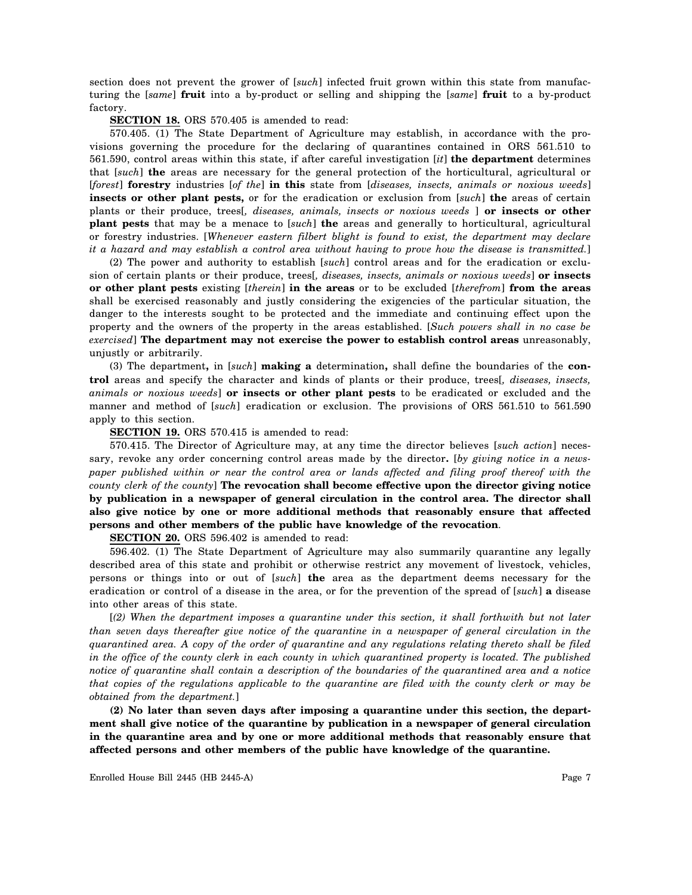section does not prevent the grower of [*such*] infected fruit grown within this state from manufacturing the [*same*] **fruit** into a by-product or selling and shipping the [*same*] **fruit** to a by-product factory.

**SECTION 18.** ORS 570.405 is amended to read:

570.405. (1) The State Department of Agriculture may establish, in accordance with the provisions governing the procedure for the declaring of quarantines contained in ORS 561.510 to 561.590, control areas within this state, if after careful investigation [*it*] **the department** determines that [*such*] **the** areas are necessary for the general protection of the horticultural, agricultural or [*forest*] **forestry** industries [*of the*] **in this** state from [*diseases, insects, animals or noxious weeds*] **insects or other plant pests,** or for the eradication or exclusion from [*such*] **the** areas of certain plants or their produce, trees[*, diseases, animals, insects or noxious weeds* ] **or insects or other plant pests** that may be a menace to [*such*] **the** areas and generally to horticultural, agricultural or forestry industries. [*Whenever eastern filbert blight is found to exist, the department may declare it a hazard and may establish a control area without having to prove how the disease is transmitted.*]

(2) The power and authority to establish [*such*] control areas and for the eradication or exclusion of certain plants or their produce, trees[*, diseases, insects, animals or noxious weeds*] **or insects or other plant pests** existing [*therein*] **in the areas** or to be excluded [*therefrom*] **from the areas** shall be exercised reasonably and justly considering the exigencies of the particular situation, the danger to the interests sought to be protected and the immediate and continuing effect upon the property and the owners of the property in the areas established. [*Such powers shall in no case be exercised*] **The department may not exercise the power to establish control areas** unreasonably, unjustly or arbitrarily.

(3) The department**,** in [*such*] **making a** determination**,** shall define the boundaries of the **control** areas and specify the character and kinds of plants or their produce, trees[*, diseases, insects, animals or noxious weeds*] **or insects or other plant pests** to be eradicated or excluded and the manner and method of [*such*] eradication or exclusion. The provisions of ORS 561.510 to 561.590 apply to this section.

**SECTION 19.** ORS 570.415 is amended to read:

570.415. The Director of Agriculture may, at any time the director believes [*such action*] necessary, revoke any order concerning control areas made by the director**.** [*by giving notice in a newspaper published within or near the control area or lands affected and filing proof thereof with the county clerk of the county*] **The revocation shall become effective upon the director giving notice by publication in a newspaper of general circulation in the control area. The director shall also give notice by one or more additional methods that reasonably ensure that affected persons and other members of the public have knowledge of the revocation**.

**SECTION 20.** ORS 596.402 is amended to read:

596.402. (1) The State Department of Agriculture may also summarily quarantine any legally described area of this state and prohibit or otherwise restrict any movement of livestock, vehicles, persons or things into or out of [*such*] **the** area as the department deems necessary for the eradication or control of a disease in the area, or for the prevention of the spread of [*such*] **a** disease into other areas of this state.

[*(2) When the department imposes a quarantine under this section, it shall forthwith but not later than seven days thereafter give notice of the quarantine in a newspaper of general circulation in the quarantined area. A copy of the order of quarantine and any regulations relating thereto shall be filed in the office of the county clerk in each county in which quarantined property is located. The published notice of quarantine shall contain a description of the boundaries of the quarantined area and a notice that copies of the regulations applicable to the quarantine are filed with the county clerk or may be obtained from the department.*]

**(2) No later than seven days after imposing a quarantine under this section, the department shall give notice of the quarantine by publication in a newspaper of general circulation in the quarantine area and by one or more additional methods that reasonably ensure that affected persons and other members of the public have knowledge of the quarantine.**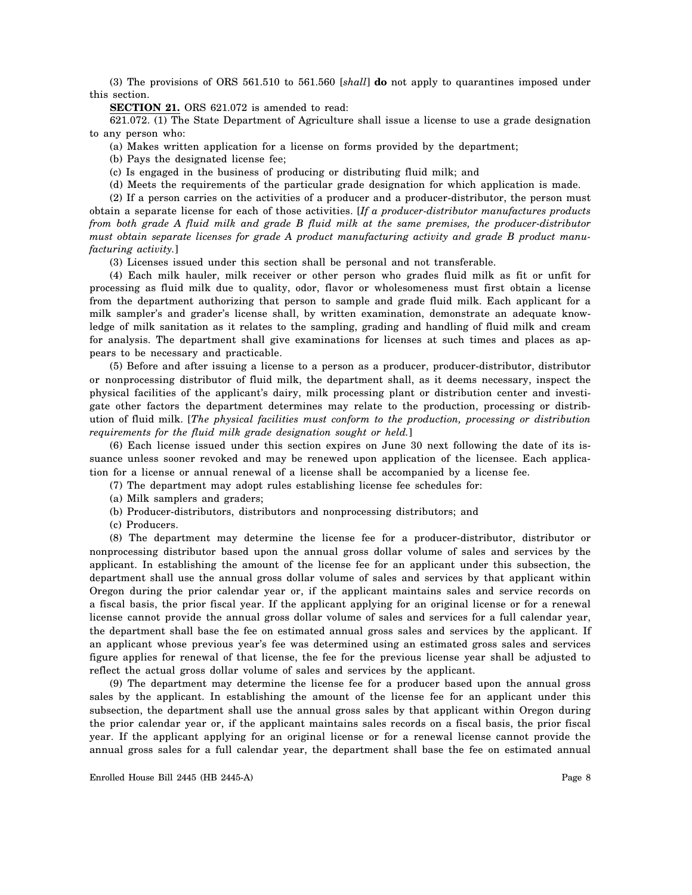(3) The provisions of ORS 561.510 to 561.560 [*shall*] **do** not apply to quarantines imposed under this section.

**SECTION 21.** ORS 621.072 is amended to read:

621.072. (1) The State Department of Agriculture shall issue a license to use a grade designation to any person who:

(a) Makes written application for a license on forms provided by the department;

(b) Pays the designated license fee;

(c) Is engaged in the business of producing or distributing fluid milk; and

(d) Meets the requirements of the particular grade designation for which application is made.

(2) If a person carries on the activities of a producer and a producer-distributor, the person must obtain a separate license for each of those activities. [*If a producer-distributor manufactures products from both grade A fluid milk and grade B fluid milk at the same premises, the producer-distributor must obtain separate licenses for grade A product manufacturing activity and grade B product manufacturing activity.*]

(3) Licenses issued under this section shall be personal and not transferable.

(4) Each milk hauler, milk receiver or other person who grades fluid milk as fit or unfit for processing as fluid milk due to quality, odor, flavor or wholesomeness must first obtain a license from the department authorizing that person to sample and grade fluid milk. Each applicant for a milk sampler's and grader's license shall, by written examination, demonstrate an adequate knowledge of milk sanitation as it relates to the sampling, grading and handling of fluid milk and cream for analysis. The department shall give examinations for licenses at such times and places as appears to be necessary and practicable.

(5) Before and after issuing a license to a person as a producer, producer-distributor, distributor or nonprocessing distributor of fluid milk, the department shall, as it deems necessary, inspect the physical facilities of the applicant's dairy, milk processing plant or distribution center and investigate other factors the department determines may relate to the production, processing or distribution of fluid milk. [*The physical facilities must conform to the production, processing or distribution requirements for the fluid milk grade designation sought or held.*]

(6) Each license issued under this section expires on June 30 next following the date of its issuance unless sooner revoked and may be renewed upon application of the licensee. Each application for a license or annual renewal of a license shall be accompanied by a license fee.

(7) The department may adopt rules establishing license fee schedules for:

- (a) Milk samplers and graders;
- (b) Producer-distributors, distributors and nonprocessing distributors; and

(c) Producers.

(8) The department may determine the license fee for a producer-distributor, distributor or nonprocessing distributor based upon the annual gross dollar volume of sales and services by the applicant. In establishing the amount of the license fee for an applicant under this subsection, the department shall use the annual gross dollar volume of sales and services by that applicant within Oregon during the prior calendar year or, if the applicant maintains sales and service records on a fiscal basis, the prior fiscal year. If the applicant applying for an original license or for a renewal license cannot provide the annual gross dollar volume of sales and services for a full calendar year, the department shall base the fee on estimated annual gross sales and services by the applicant. If an applicant whose previous year's fee was determined using an estimated gross sales and services figure applies for renewal of that license, the fee for the previous license year shall be adjusted to reflect the actual gross dollar volume of sales and services by the applicant.

(9) The department may determine the license fee for a producer based upon the annual gross sales by the applicant. In establishing the amount of the license fee for an applicant under this subsection, the department shall use the annual gross sales by that applicant within Oregon during the prior calendar year or, if the applicant maintains sales records on a fiscal basis, the prior fiscal year. If the applicant applying for an original license or for a renewal license cannot provide the annual gross sales for a full calendar year, the department shall base the fee on estimated annual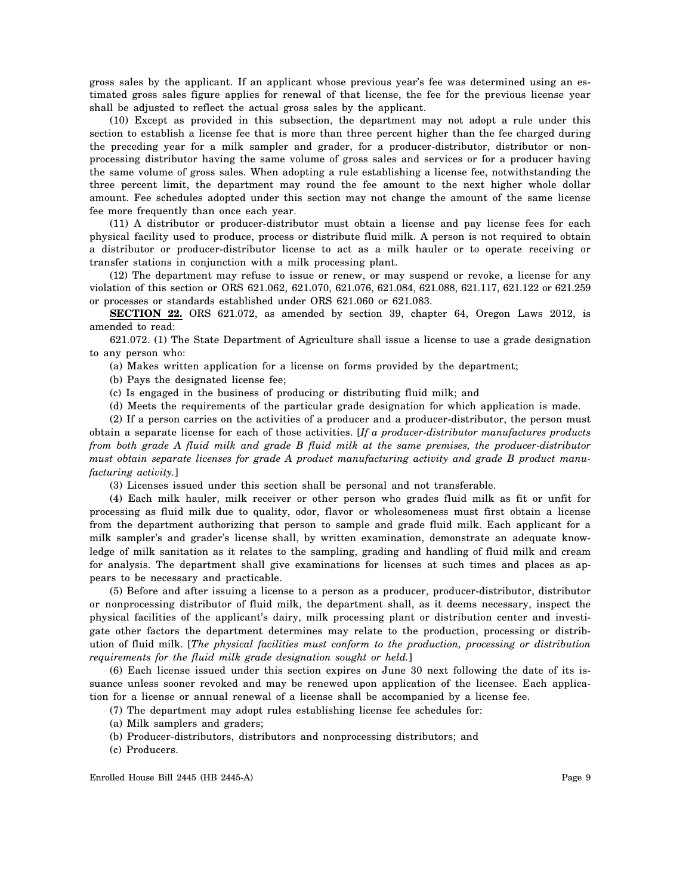gross sales by the applicant. If an applicant whose previous year's fee was determined using an estimated gross sales figure applies for renewal of that license, the fee for the previous license year shall be adjusted to reflect the actual gross sales by the applicant.

(10) Except as provided in this subsection, the department may not adopt a rule under this section to establish a license fee that is more than three percent higher than the fee charged during the preceding year for a milk sampler and grader, for a producer-distributor, distributor or nonprocessing distributor having the same volume of gross sales and services or for a producer having the same volume of gross sales. When adopting a rule establishing a license fee, notwithstanding the three percent limit, the department may round the fee amount to the next higher whole dollar amount. Fee schedules adopted under this section may not change the amount of the same license fee more frequently than once each year.

(11) A distributor or producer-distributor must obtain a license and pay license fees for each physical facility used to produce, process or distribute fluid milk. A person is not required to obtain a distributor or producer-distributor license to act as a milk hauler or to operate receiving or transfer stations in conjunction with a milk processing plant.

(12) The department may refuse to issue or renew, or may suspend or revoke, a license for any violation of this section or ORS 621.062, 621.070, 621.076, 621.084, 621.088, 621.117, 621.122 or 621.259 or processes or standards established under ORS 621.060 or 621.083.

**SECTION 22.** ORS 621.072, as amended by section 39, chapter 64, Oregon Laws 2012, is amended to read:

621.072. (1) The State Department of Agriculture shall issue a license to use a grade designation to any person who:

(a) Makes written application for a license on forms provided by the department;

(b) Pays the designated license fee;

(c) Is engaged in the business of producing or distributing fluid milk; and

(d) Meets the requirements of the particular grade designation for which application is made.

(2) If a person carries on the activities of a producer and a producer-distributor, the person must obtain a separate license for each of those activities. [*If a producer-distributor manufactures products from both grade A fluid milk and grade B fluid milk at the same premises, the producer-distributor must obtain separate licenses for grade A product manufacturing activity and grade B product manufacturing activity.*]

(3) Licenses issued under this section shall be personal and not transferable.

(4) Each milk hauler, milk receiver or other person who grades fluid milk as fit or unfit for processing as fluid milk due to quality, odor, flavor or wholesomeness must first obtain a license from the department authorizing that person to sample and grade fluid milk. Each applicant for a milk sampler's and grader's license shall, by written examination, demonstrate an adequate knowledge of milk sanitation as it relates to the sampling, grading and handling of fluid milk and cream for analysis. The department shall give examinations for licenses at such times and places as appears to be necessary and practicable.

(5) Before and after issuing a license to a person as a producer, producer-distributor, distributor or nonprocessing distributor of fluid milk, the department shall, as it deems necessary, inspect the physical facilities of the applicant's dairy, milk processing plant or distribution center and investigate other factors the department determines may relate to the production, processing or distribution of fluid milk. [*The physical facilities must conform to the production, processing or distribution requirements for the fluid milk grade designation sought or held.*]

(6) Each license issued under this section expires on June 30 next following the date of its issuance unless sooner revoked and may be renewed upon application of the licensee. Each application for a license or annual renewal of a license shall be accompanied by a license fee.

(7) The department may adopt rules establishing license fee schedules for:

- (a) Milk samplers and graders;
- (b) Producer-distributors, distributors and nonprocessing distributors; and
- (c) Producers.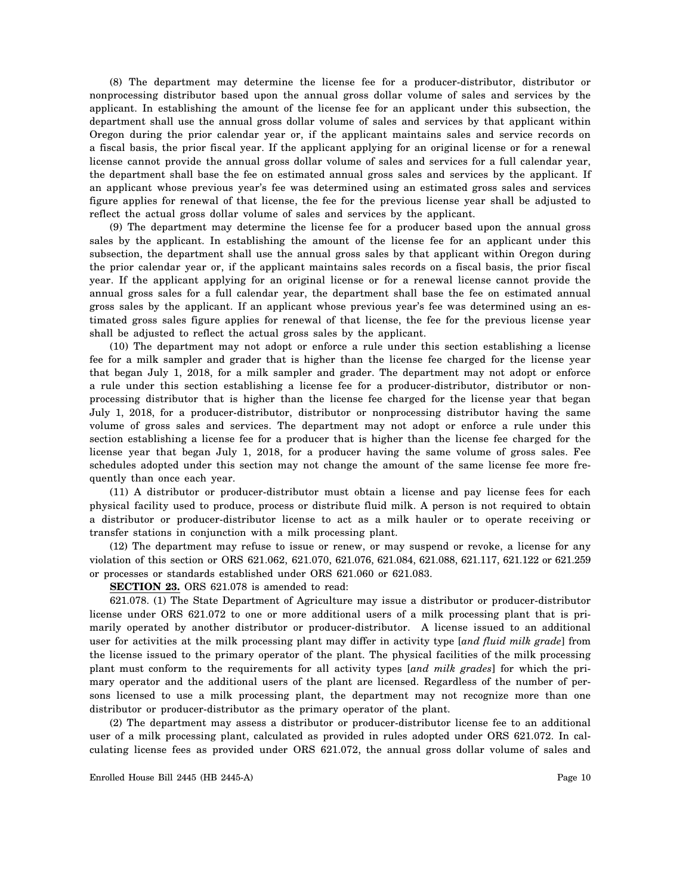(8) The department may determine the license fee for a producer-distributor, distributor or nonprocessing distributor based upon the annual gross dollar volume of sales and services by the applicant. In establishing the amount of the license fee for an applicant under this subsection, the department shall use the annual gross dollar volume of sales and services by that applicant within Oregon during the prior calendar year or, if the applicant maintains sales and service records on a fiscal basis, the prior fiscal year. If the applicant applying for an original license or for a renewal license cannot provide the annual gross dollar volume of sales and services for a full calendar year, the department shall base the fee on estimated annual gross sales and services by the applicant. If an applicant whose previous year's fee was determined using an estimated gross sales and services figure applies for renewal of that license, the fee for the previous license year shall be adjusted to reflect the actual gross dollar volume of sales and services by the applicant.

(9) The department may determine the license fee for a producer based upon the annual gross sales by the applicant. In establishing the amount of the license fee for an applicant under this subsection, the department shall use the annual gross sales by that applicant within Oregon during the prior calendar year or, if the applicant maintains sales records on a fiscal basis, the prior fiscal year. If the applicant applying for an original license or for a renewal license cannot provide the annual gross sales for a full calendar year, the department shall base the fee on estimated annual gross sales by the applicant. If an applicant whose previous year's fee was determined using an estimated gross sales figure applies for renewal of that license, the fee for the previous license year shall be adjusted to reflect the actual gross sales by the applicant.

(10) The department may not adopt or enforce a rule under this section establishing a license fee for a milk sampler and grader that is higher than the license fee charged for the license year that began July 1, 2018, for a milk sampler and grader. The department may not adopt or enforce a rule under this section establishing a license fee for a producer-distributor, distributor or nonprocessing distributor that is higher than the license fee charged for the license year that began July 1, 2018, for a producer-distributor, distributor or nonprocessing distributor having the same volume of gross sales and services. The department may not adopt or enforce a rule under this section establishing a license fee for a producer that is higher than the license fee charged for the license year that began July 1, 2018, for a producer having the same volume of gross sales. Fee schedules adopted under this section may not change the amount of the same license fee more frequently than once each year.

(11) A distributor or producer-distributor must obtain a license and pay license fees for each physical facility used to produce, process or distribute fluid milk. A person is not required to obtain a distributor or producer-distributor license to act as a milk hauler or to operate receiving or transfer stations in conjunction with a milk processing plant.

(12) The department may refuse to issue or renew, or may suspend or revoke, a license for any violation of this section or ORS 621.062, 621.070, 621.076, 621.084, 621.088, 621.117, 621.122 or 621.259 or processes or standards established under ORS 621.060 or 621.083.

**SECTION 23.** ORS 621.078 is amended to read:

621.078. (1) The State Department of Agriculture may issue a distributor or producer-distributor license under ORS 621.072 to one or more additional users of a milk processing plant that is primarily operated by another distributor or producer-distributor. A license issued to an additional user for activities at the milk processing plant may differ in activity type [*and fluid milk grade*] from the license issued to the primary operator of the plant. The physical facilities of the milk processing plant must conform to the requirements for all activity types [*and milk grades*] for which the primary operator and the additional users of the plant are licensed. Regardless of the number of persons licensed to use a milk processing plant, the department may not recognize more than one distributor or producer-distributor as the primary operator of the plant.

(2) The department may assess a distributor or producer-distributor license fee to an additional user of a milk processing plant, calculated as provided in rules adopted under ORS 621.072. In calculating license fees as provided under ORS 621.072, the annual gross dollar volume of sales and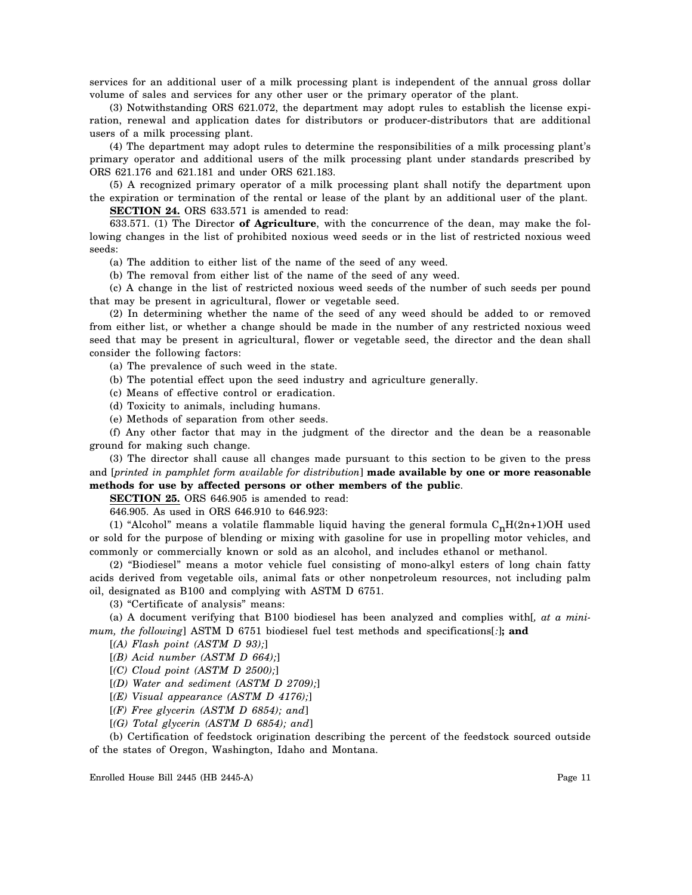services for an additional user of a milk processing plant is independent of the annual gross dollar volume of sales and services for any other user or the primary operator of the plant.

(3) Notwithstanding ORS 621.072, the department may adopt rules to establish the license expiration, renewal and application dates for distributors or producer-distributors that are additional users of a milk processing plant.

(4) The department may adopt rules to determine the responsibilities of a milk processing plant's primary operator and additional users of the milk processing plant under standards prescribed by ORS 621.176 and 621.181 and under ORS 621.183.

(5) A recognized primary operator of a milk processing plant shall notify the department upon the expiration or termination of the rental or lease of the plant by an additional user of the plant. **SECTION 24.** ORS 633.571 is amended to read:

633.571. (1) The Director **of Agriculture**, with the concurrence of the dean, may make the following changes in the list of prohibited noxious weed seeds or in the list of restricted noxious weed seeds:

(a) The addition to either list of the name of the seed of any weed.

(b) The removal from either list of the name of the seed of any weed.

(c) A change in the list of restricted noxious weed seeds of the number of such seeds per pound that may be present in agricultural, flower or vegetable seed.

(2) In determining whether the name of the seed of any weed should be added to or removed from either list, or whether a change should be made in the number of any restricted noxious weed seed that may be present in agricultural, flower or vegetable seed, the director and the dean shall consider the following factors:

(a) The prevalence of such weed in the state.

- (b) The potential effect upon the seed industry and agriculture generally.
- (c) Means of effective control or eradication.
- (d) Toxicity to animals, including humans.
- (e) Methods of separation from other seeds.

(f) Any other factor that may in the judgment of the director and the dean be a reasonable ground for making such change.

(3) The director shall cause all changes made pursuant to this section to be given to the press and [*printed in pamphlet form available for distribution*] **made available by one or more reasonable methods for use by affected persons or other members of the public**.

## **SECTION 25.** ORS 646.905 is amended to read:

646.905. As used in ORS 646.910 to 646.923:

(1) "Alcohol" means a volatile flammable liquid having the general formula  $C_nH(2n+1)OH$  used or sold for the purpose of blending or mixing with gasoline for use in propelling motor vehicles, and commonly or commercially known or sold as an alcohol, and includes ethanol or methanol.

(2) "Biodiesel" means a motor vehicle fuel consisting of mono-alkyl esters of long chain fatty acids derived from vegetable oils, animal fats or other nonpetroleum resources, not including palm oil, designated as B100 and complying with ASTM D 6751.

(3) "Certificate of analysis" means:

(a) A document verifying that B100 biodiesel has been analyzed and complies with[*, at a minimum, the following*] ASTM D 6751 biodiesel fuel test methods and specifications[*:*]**; and**

[*(A) Flash point (ASTM D 93);*]

[*(B) Acid number (ASTM D 664);*]

[*(C) Cloud point (ASTM D 2500);*]

[*(D) Water and sediment (ASTM D 2709);*]

[*(E) Visual appearance (ASTM D 4176);*]

[*(F) Free glycerin (ASTM D 6854); and*]

[*(G) Total glycerin (ASTM D 6854); and*]

(b) Certification of feedstock origination describing the percent of the feedstock sourced outside of the states of Oregon, Washington, Idaho and Montana.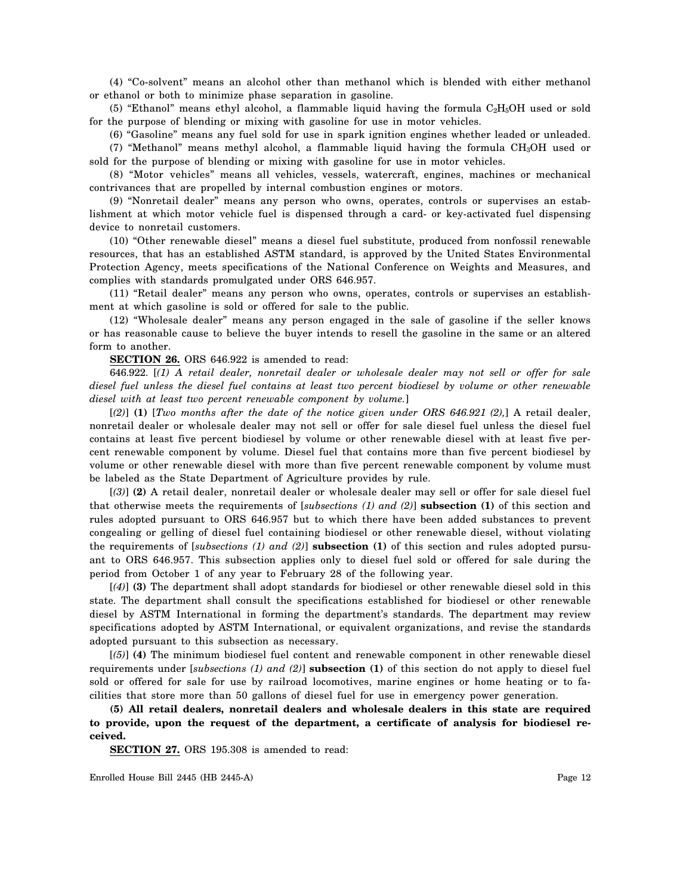(4) "Co-solvent" means an alcohol other than methanol which is blended with either methanol or ethanol or both to minimize phase separation in gasoline.

(5) "Ethanol" means ethyl alcohol, a flammable liquid having the formula C2H5OH used or sold for the purpose of blending or mixing with gasoline for use in motor vehicles.

(6) "Gasoline" means any fuel sold for use in spark ignition engines whether leaded or unleaded.

(7) "Methanol" means methyl alcohol, a flammable liquid having the formula CH3OH used or sold for the purpose of blending or mixing with gasoline for use in motor vehicles.

(8) "Motor vehicles" means all vehicles, vessels, watercraft, engines, machines or mechanical contrivances that are propelled by internal combustion engines or motors.

(9) "Nonretail dealer" means any person who owns, operates, controls or supervises an establishment at which motor vehicle fuel is dispensed through a card- or key-activated fuel dispensing device to nonretail customers.

(10) "Other renewable diesel" means a diesel fuel substitute, produced from nonfossil renewable resources, that has an established ASTM standard, is approved by the United States Environmental Protection Agency, meets specifications of the National Conference on Weights and Measures, and complies with standards promulgated under ORS 646.957.

(11) "Retail dealer" means any person who owns, operates, controls or supervises an establishment at which gasoline is sold or offered for sale to the public.

(12) "Wholesale dealer" means any person engaged in the sale of gasoline if the seller knows or has reasonable cause to believe the buyer intends to resell the gasoline in the same or an altered form to another.

**SECTION 26.** ORS 646.922 is amended to read:

646.922. [*(1) A retail dealer, nonretail dealer or wholesale dealer may not sell or offer for sale diesel fuel unless the diesel fuel contains at least two percent biodiesel by volume or other renewable diesel with at least two percent renewable component by volume.*]

[*(2)*] **(1)** [*Two months after the date of the notice given under ORS 646.921 (2),*] A retail dealer, nonretail dealer or wholesale dealer may not sell or offer for sale diesel fuel unless the diesel fuel contains at least five percent biodiesel by volume or other renewable diesel with at least five percent renewable component by volume. Diesel fuel that contains more than five percent biodiesel by volume or other renewable diesel with more than five percent renewable component by volume must be labeled as the State Department of Agriculture provides by rule.

[*(3)*] **(2)** A retail dealer, nonretail dealer or wholesale dealer may sell or offer for sale diesel fuel that otherwise meets the requirements of [*subsections (1) and (2)*] **subsection (1)** of this section and rules adopted pursuant to ORS 646.957 but to which there have been added substances to prevent congealing or gelling of diesel fuel containing biodiesel or other renewable diesel, without violating the requirements of [*subsections (1) and (2)*] **subsection (1)** of this section and rules adopted pursuant to ORS 646.957. This subsection applies only to diesel fuel sold or offered for sale during the period from October 1 of any year to February 28 of the following year.

[*(4)*] **(3)** The department shall adopt standards for biodiesel or other renewable diesel sold in this state. The department shall consult the specifications established for biodiesel or other renewable diesel by ASTM International in forming the department's standards. The department may review specifications adopted by ASTM International, or equivalent organizations, and revise the standards adopted pursuant to this subsection as necessary.

[*(5)*] **(4)** The minimum biodiesel fuel content and renewable component in other renewable diesel requirements under [*subsections (1) and (2)*] **subsection (1)** of this section do not apply to diesel fuel sold or offered for sale for use by railroad locomotives, marine engines or home heating or to facilities that store more than 50 gallons of diesel fuel for use in emergency power generation.

**(5) All retail dealers, nonretail dealers and wholesale dealers in this state are required to provide, upon the request of the department, a certificate of analysis for biodiesel received.**

**SECTION 27.** ORS 195.308 is amended to read: